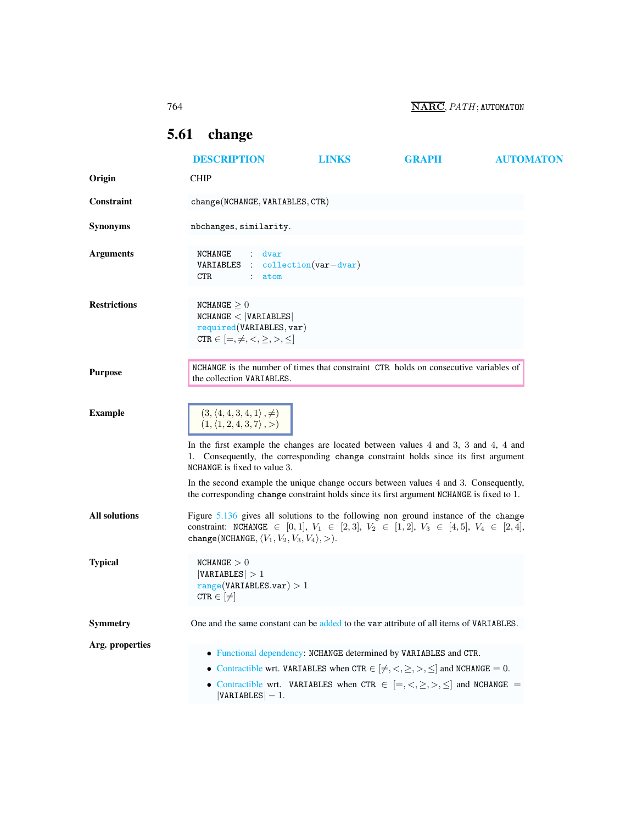764 NARC, PATH; AUTOMATON

## <span id="page-0-0"></span>5.61 change

|                     | <b>DESCRIPTION</b>                                                                                                                                                                                                                                                                   | <b>LINKS</b> | <b>GRAPH</b> | <b>AUTOMATON</b> |
|---------------------|--------------------------------------------------------------------------------------------------------------------------------------------------------------------------------------------------------------------------------------------------------------------------------------|--------------|--------------|------------------|
| Origin              | <b>CHIP</b>                                                                                                                                                                                                                                                                          |              |              |                  |
| Constraint          | change (NCHANGE, VARIABLES, CTR)                                                                                                                                                                                                                                                     |              |              |                  |
| <b>Synonyms</b>     | nbchanges, similarity.                                                                                                                                                                                                                                                               |              |              |                  |
| <b>Arguments</b>    | NCHANGE<br>dvar<br>$\mathcal{L}$<br>$\text{collection}(var-dvar)$<br>VARIABLES<br>CTR.<br>$\ddot{\phantom{0}}$<br>atom                                                                                                                                                               |              |              |                  |
| <b>Restrictions</b> | NCHANGE $\geq 0$<br>NCHANGE <  VARIABLES <br>required(VARIABLES, var)<br>CTR $\in$ $[=, \neq, <, \geq, >, \leq]$                                                                                                                                                                     |              |              |                  |
| <b>Purpose</b>      | NCHANGE is the number of times that constraint CTR holds on consecutive variables of<br>the collection VARIABLES.                                                                                                                                                                    |              |              |                  |
| <b>Example</b>      | $(3, (4, 4, 3, 4, 1), \neq)$<br>$(1, \langle 1, 2, 4, 3, 7 \rangle, )$<br>In the first example the changes are located between values 4 and 3, 3 and 4, 4 and<br>1. Consequently, the corresponding change constraint holds since its first argument<br>NCHANGE is fixed to value 3. |              |              |                  |
|                     | In the second example the unique change occurs between values 4 and 3. Consequently,<br>the corresponding change constraint holds since its first argument NCHANGE is fixed to 1.                                                                                                    |              |              |                  |
| All solutions       | Figure 5.136 gives all solutions to the following non ground instance of the change<br>constraint: NCHANGE $\in$ [0, 1], $V_1 \in$ [2, 3], $V_2 \in$ [1, 2], $V_3 \in$ [4, 5], $V_4 \in$ [2, 4],<br>change(NCHANGE, $\langle V_1, V_2, V_3, V_4 \rangle$ , $>$ ).                    |              |              |                  |
| <b>Typical</b>      | NCHANGE > 0<br> VARIABLES  > 1<br>range(VARIABLES.var) > 1<br>$CTR \in [\neq]$                                                                                                                                                                                                       |              |              |                  |
| Symmetry            | One and the same constant can be added to the var attribute of all items of VARIABLES.                                                                                                                                                                                               |              |              |                  |
| Arg. properties     | • Functional dependency: NCHANGE determined by VARIABLES and CTR.<br>• Contractible wrt. VARIABLES when CTR $\in [\neq, <, \geq, >, \leq]$ and NCHANGE = 0.<br>• Contractible wrt. VARIABLES when CTR $\in$ $[=, <, \geq, >, \leq]$ and NCHANGE =<br>$ VARIABLES  - 1.$              |              |              |                  |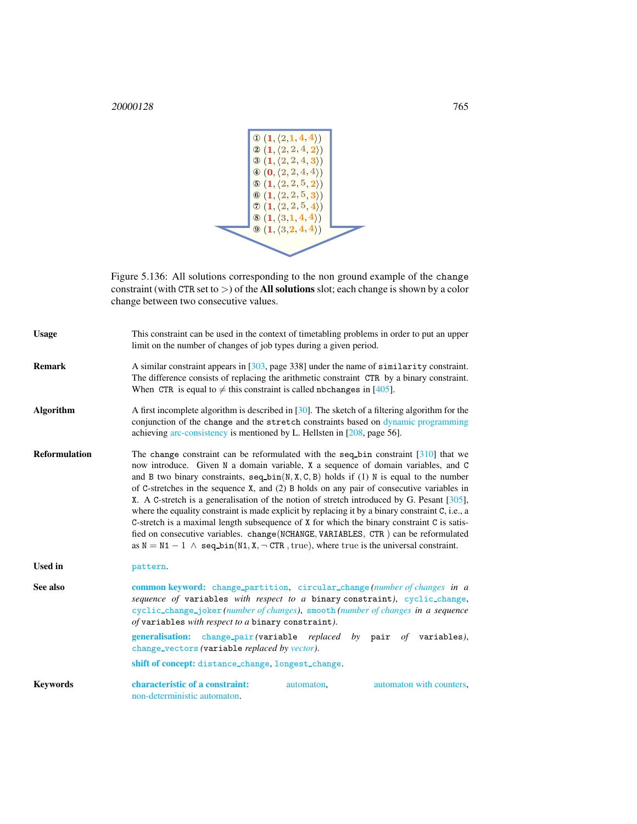| $\Phi(1, \langle 2,1,4,4 \rangle)$             |  |
|------------------------------------------------|--|
| $\otimes$ $(1, \langle 2, 2, 4, 2 \rangle)$    |  |
| $\odot (1, \langle 2, 2, 4, 3 \rangle)$        |  |
| $\Phi(\mathbf{0}, \langle 2, 2, 4, 4 \rangle)$ |  |
| $\circled{1}, \langle 2, 2, 5, 2 \rangle$      |  |
| $\otimes$ $(1, \langle 2, 2, 5, 3 \rangle)$    |  |
| $\mathcal{O}(1, \langle 2, 2, 5, 4 \rangle)$   |  |
| $\otimes$ (1, $\langle 3,1,4,4 \rangle$ )      |  |
| $\Theta$ $(1, (3, 2, 4, 4))$                   |  |
|                                                |  |
|                                                |  |
|                                                |  |

<span id="page-1-1"></span>Figure 5.136: All solutions corresponding to the non ground example of the change constraint (with CTR set to  $>$ ) of the **All solutions** slot; each change is shown by a color change between two consecutive values.

<span id="page-1-0"></span>

| <b>Usage</b>         | This constraint can be used in the context of timetabling problems in order to put an upper<br>limit on the number of changes of job types during a given period.                                                                                                                                                                                                                                                                                                                                                                                                                                                                                                                                                                                                                                                                                                         |  |  |
|----------------------|---------------------------------------------------------------------------------------------------------------------------------------------------------------------------------------------------------------------------------------------------------------------------------------------------------------------------------------------------------------------------------------------------------------------------------------------------------------------------------------------------------------------------------------------------------------------------------------------------------------------------------------------------------------------------------------------------------------------------------------------------------------------------------------------------------------------------------------------------------------------------|--|--|
| <b>Remark</b>        | A similar constraint appears in [303, page 338] under the name of similarity constraint.<br>The difference consists of replacing the arithmetic constraint CTR by a binary constraint.<br>When CTR is equal to $\neq$ this constraint is called nbchanges in [405].                                                                                                                                                                                                                                                                                                                                                                                                                                                                                                                                                                                                       |  |  |
| <b>Algorithm</b>     | A first incomplete algorithm is described in [30]. The sketch of a filtering algorithm for the<br>conjunction of the change and the stretch constraints based on dynamic programming<br>achieving arc-consistency is mentioned by L. Hellsten in $[208, \text{page 56}]$ .                                                                                                                                                                                                                                                                                                                                                                                                                                                                                                                                                                                                |  |  |
| <b>Reformulation</b> | The change constraint can be reformulated with the seq-bin constraint $[310]$ that we<br>now introduce. Given N a domain variable, X a sequence of domain variables, and C<br>and B two binary constraints, $seq\_bin(N, X, C, B)$ holds if (1) N is equal to the number<br>of C-stretches in the sequence $X$ , and (2) B holds on any pair of consecutive variables in<br>X. A C-stretch is a generalisation of the notion of stretch introduced by G. Pesant [305],<br>where the equality constraint is made explicit by replacing it by a binary constraint C, i.e., a<br>C-stretch is a maximal length subsequence of $X$ for which the binary constraint $C$ is satis-<br>fied on consecutive variables. change (NCHANGE, VARIABLES, CTR) can be reformulated<br>as $N = N1 - 1$ $\wedge$ seq bin(N1, X, $\neg$ CTR, true), where true is the universal constraint. |  |  |
| <b>Used in</b>       | pattern.                                                                                                                                                                                                                                                                                                                                                                                                                                                                                                                                                                                                                                                                                                                                                                                                                                                                  |  |  |
| See also             | common keyword: change_partition, circular_change(number of changes in a<br>sequence of variables with respect to a binary constraint), cyclic_change,<br>cyclic_change_joker (number of changes), smooth (number of changes in a sequence<br>of variables with respect to a binary constraint).                                                                                                                                                                                                                                                                                                                                                                                                                                                                                                                                                                          |  |  |
|                      | generalisation: change_pair(variable replaced by pair of variables),<br>change_vectors (variable replaced by vector).                                                                                                                                                                                                                                                                                                                                                                                                                                                                                                                                                                                                                                                                                                                                                     |  |  |
|                      | shift of concept: distance_change, longest_change.                                                                                                                                                                                                                                                                                                                                                                                                                                                                                                                                                                                                                                                                                                                                                                                                                        |  |  |
| <b>Keywords</b>      | characteristic of a constraint:<br>automaton with counters,<br>automaton,<br>non-deterministic automaton.                                                                                                                                                                                                                                                                                                                                                                                                                                                                                                                                                                                                                                                                                                                                                                 |  |  |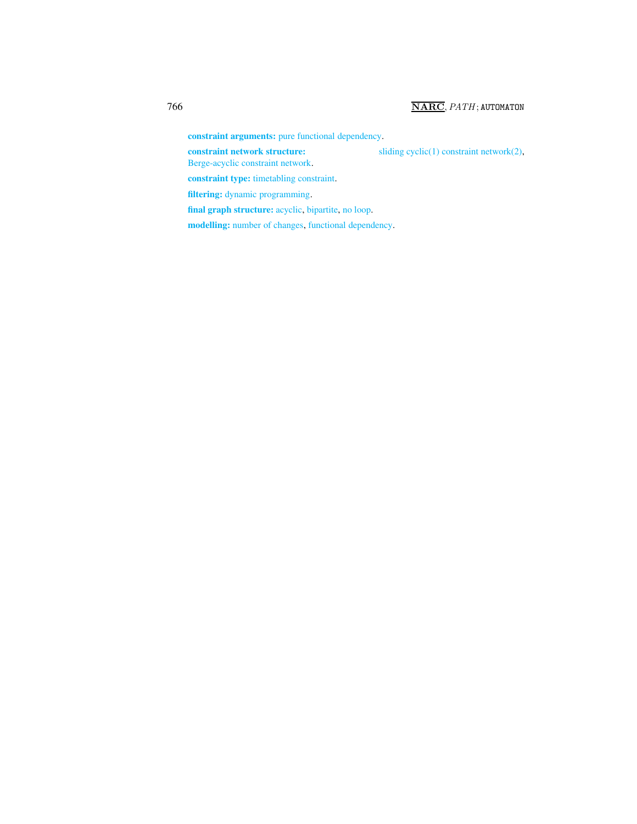constraint arguments: pure functional dependency.

constraint network structure: sliding cyclic(1) constraint network(2),

Berge-acyclic constraint network.

constraint type: timetabling constraint.

filtering: dynamic programming.

final graph structure: acyclic, bipartite, no loop.

modelling: number of changes, functional dependency.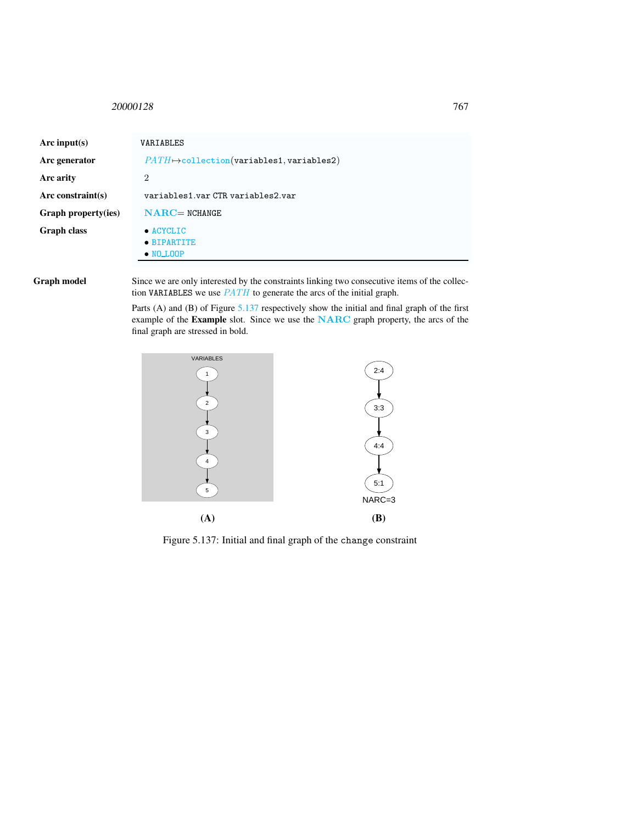## <span id="page-3-0"></span><sup>20000128</sup> 767

| Arc input(s)        | VARIABLES                                             |
|---------------------|-------------------------------------------------------|
| Arc generator       | $PATH \rightarrow collection(variables1, variables2)$ |
| Arc arity           | $\overline{2}$                                        |
| Arc constraint(s)   | variables1.varCTR variables2.var                      |
| Graph property(ies) | $NARC = NCHANGE$                                      |
| <b>Graph class</b>  | $\bullet$ ACYCLIC<br>• BIPARTITE<br>$\bullet$ NO_LOOP |

Graph model Since we are only interested by the constraints linking two consecutive items of the collection VARIABLES we use  $PATH$  to generate the arcs of the initial graph.

> Parts (A) and (B) of Figure [5.137](#page-3-1) respectively show the initial and final graph of the first example of the Example slot. Since we use the NARC graph property, the arcs of the final graph are stressed in bold.



<span id="page-3-1"></span>Figure 5.137: Initial and final graph of the change constraint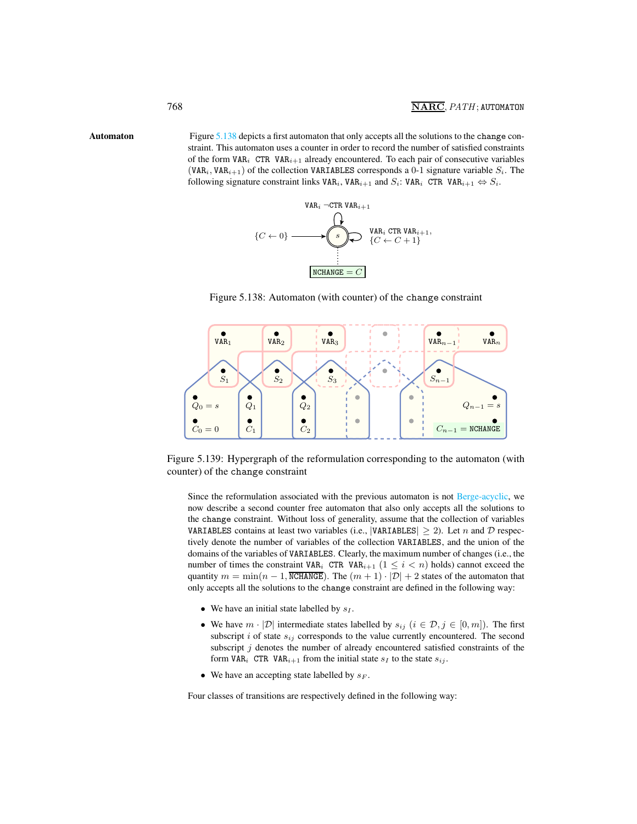Automaton Figure [5.138](#page-4-1) depicts a first automaton that only accepts all the solutions to the change constraint. This automaton uses a counter in order to record the number of satisfied constraints of the form  $VAR_i$  CTR  $VAR_{i+1}$  already encountered. To each pair of consecutive variables (VAR<sub>i</sub>, VAR<sub>i+1</sub>) of the collection VARIABLES corresponds a 0-1 signature variable  $S_i$ . The following signature constraint links  $\texttt{VAR}_i$ ,  $\texttt{VAR}_{i+1}$  and  $S_i$ :  $\texttt{VAR}_i$  CTR  $\texttt{VAR}_{i+1} \Leftrightarrow S_i$ .

<span id="page-4-0"></span>

<span id="page-4-1"></span>Figure 5.138: Automaton (with counter) of the change constraint



Figure 5.139: Hypergraph of the reformulation corresponding to the automaton (with counter) of the change constraint

Since the reformulation associated with the previous automaton is not Berge-acyclic, we now describe a second counter free automaton that also only accepts all the solutions to the change constraint. Without loss of generality, assume that the collection of variables VARIABLES contains at least two variables (i.e., |VARIABLES|  $\geq$  2). Let n and D respectively denote the number of variables of the collection VARIABLES, and the union of the domains of the variables of VARIABLES. Clearly, the maximum number of changes (i.e., the number of times the constraint VAR<sub>i</sub> CTR VAR<sub>i+1</sub> ( $1 \leq i \leq n$ ) holds) cannot exceed the quantity  $m = \min(n - 1, \overline{\text{NCHANGE}})$ . The  $(m + 1) \cdot |\mathcal{D}| + 2$  states of the automaton that only accepts all the solutions to the change constraint are defined in the following way:

- We have an initial state labelled by  $s_I$ .
- We have  $m \cdot |\mathcal{D}|$  intermediate states labelled by  $s_{ij}$   $(i \in \mathcal{D}, j \in [0, m])$ . The first subscript i of state  $s_{ij}$  corresponds to the value currently encountered. The second subscript  $j$  denotes the number of already encountered satisfied constraints of the form VAR<sub>i</sub> CTR VAR<sub>i+1</sub> from the initial state  $s_I$  to the state  $s_{ij}$ .
- We have an accepting state labelled by  $s_F$ .

Four classes of transitions are respectively defined in the following way: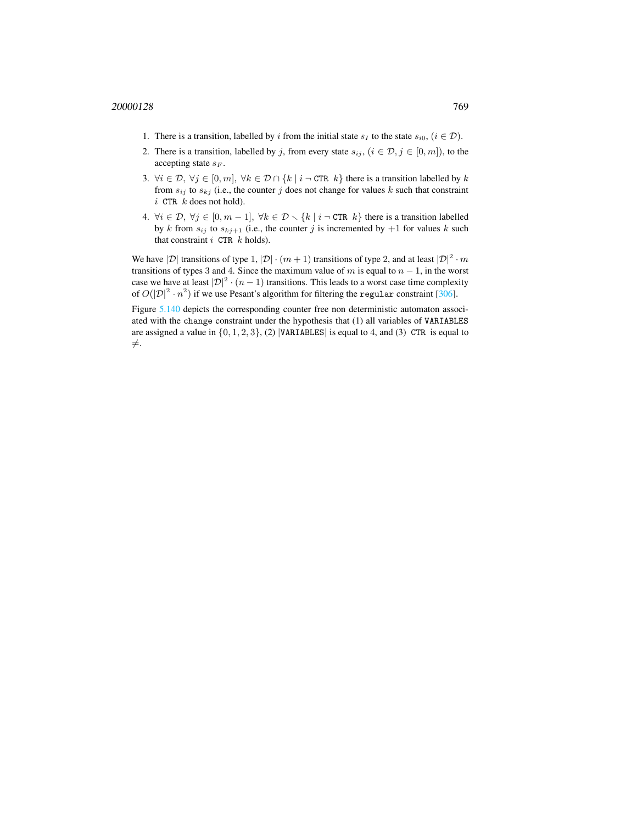- 1. There is a transition, labelled by i from the initial state  $s_I$  to the state  $s_{i0}$ ,  $(i \in \mathcal{D})$ .
- 2. There is a transition, labelled by j, from every state  $s_{ij}$ ,  $(i \in \mathcal{D}, j \in [0, m])$ , to the accepting state  $s_F$ .
- 3.  $\forall i \in \mathcal{D}, \forall j \in [0, m], \forall k \in \mathcal{D} \cap \{k \mid i \neg \text{CTR } k\}$  there is a transition labelled by k from  $s_{ij}$  to  $s_{kj}$  (i.e., the counter j does not change for values k such that constraint  $i$  CTR  $k$  does not hold).
- 4.  $\forall i \in \mathcal{D}, \forall j \in [0, m-1], \forall k \in \mathcal{D} \setminus \{k \mid i \neg \text{CTR } k\}$  there is a transition labelled by k from  $s_{ij}$  to  $s_{kj+1}$  (i.e., the counter j is incremented by  $+1$  for values k such that constraint  $i$  CTR  $k$  holds).

We have  $|\mathcal{D}|$  transitions of type 1,  $|\mathcal{D}| \cdot (m+1)$  transitions of type 2, and at least  $|\mathcal{D}|^2 \cdot m$ transitions of types 3 and 4. Since the maximum value of m is equal to  $n - 1$ , in the worst case we have at least  $|\mathcal{D}|^2 \cdot (n-1)$  transitions. This leads to a worst case time complexity of  $O(|\mathcal{D}|^2 \cdot n^2)$  if we use Pesant's algorithm for filtering the regular constraint [306].

Figure [5.140](#page-6-0) depicts the corresponding counter free non deterministic automaton associated with the change constraint under the hypothesis that (1) all variables of VARIABLES are assigned a value in  $\{0, 1, 2, 3\}$ , (2) |VARIABLES| is equal to 4, and (3) CTR is equal to  $\neq$ .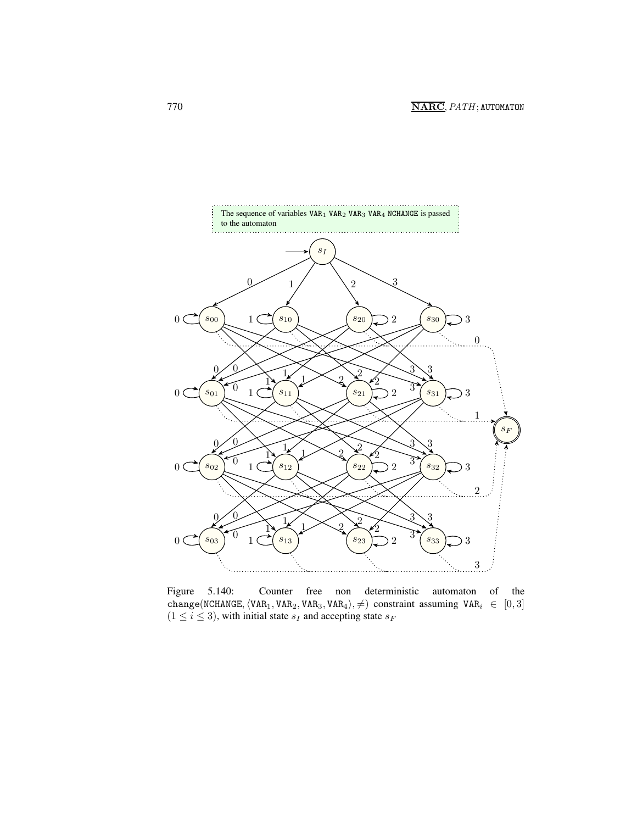

<span id="page-6-0"></span>Figure 5.140: Counter free non deterministic automaton of the change(NCHANGE,  $\langle \texttt{VAR}_1, \texttt{VAR}_2, \texttt{VAR}_3, \texttt{VAR}_4 \rangle, \neq)$  constraint assuming  $\texttt{VAR}_i \in [0, 3]$  $(1 \le i \le 3)$ , with initial state  $s_I$  and accepting state  $s_F$